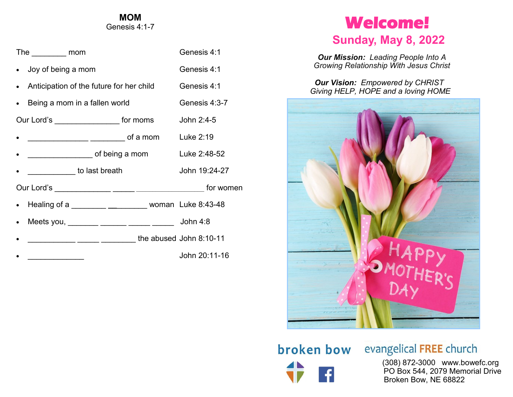#### **MOM** Genesis 4:1-7

| The mom                                  |                                                       | Genesis 4:1   |
|------------------------------------------|-------------------------------------------------------|---------------|
| • Joy of being a mom                     |                                                       | Genesis 4:1   |
| Anticipation of the future for her child |                                                       | Genesis 4:1   |
| Being a mom in a fallen world            |                                                       | Genesis 4:3-7 |
| Our Lord's ____________________ for moms |                                                       | John 2:4-5    |
|                                          | ________________ ________ of a mom                    | Luke $2:19$   |
|                                          |                                                       |               |
| to last breath                           |                                                       | John 19:24-27 |
|                                          |                                                       |               |
|                                          | Healing of a _________ ___________ woman Luke 8:43-48 |               |
|                                          | Meets you, ________ ______ ______ _____ John 4:8      |               |
|                                          | _________ _____ _____ ______ the abused John 8:10-11  |               |
|                                          |                                                       | John 20:11-16 |

## **Welcome!**

### **Sunday, May 8, 2022**

*Our Mission: Leading People Into A Growing Relationship With Jesus Christ*

*Our Vision: Empowered by CHRIST Giving HELP, HOPE and a loving HOME*



# broken bow

## evangelical FREE church

 (308) 872-3000 www.bowefc.org PO Box 544, 2079 Memorial Drive Broken Bow, NE 68822